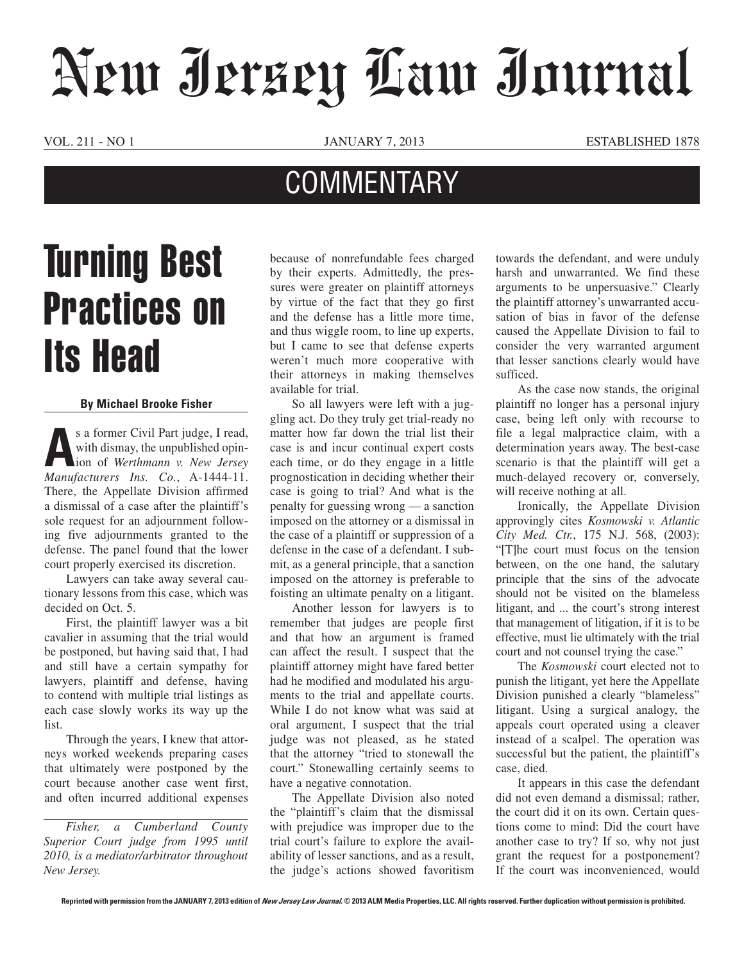## New Jersey Law Journal

VOL. 211 - NO 1 JANUARY 7, 2013 ESTABLISHED 1878

## **COMMENTARY**

## Turning Best Practices on Its Head

## **By Michael Brooke Fisher**

s a former Civil Part judge, I read,<br>with dismay, the unpublished opin-<br>ion of Werthmann v. New Jersey with dismay, the unpublished opinion of *Werthmann v. New Jersey Manufacturers Ins. Co.*, A-1444-11. There, the Appellate Division affirmed a dismissal of a case after the plaintiff's sole request for an adjournment following five adjournments granted to the defense. The panel found that the lower court properly exercised its discretion.

Lawyers can take away several cautionary lessons from this case, which was decided on Oct. 5.

First, the plaintiff lawyer was a bit cavalier in assuming that the trial would be postponed, but having said that, I had and still have a certain sympathy for lawyers, plaintiff and defense, having to contend with multiple trial listings as each case slowly works its way up the list.

Through the years, I knew that attorneys worked weekends preparing cases that ultimately were postponed by the court because another case went first, and often incurred additional expenses

*Fisher, a Cumberland County Superior Court judge from 1995 until 2010, is a mediator/arbitrator throughout New Jersey.*

because of nonrefundable fees charged by their experts. Admittedly, the pressures were greater on plaintiff attorneys by virtue of the fact that they go first and the defense has a little more time, and thus wiggle room, to line up experts, but I came to see that defense experts weren't much more cooperative with their attorneys in making themselves available for trial.

So all lawyers were left with a juggling act. Do they truly get trial-ready no matter how far down the trial list their case is and incur continual expert costs each time, or do they engage in a little prognostication in deciding whether their case is going to trial? And what is the penalty for guessing wrong — a sanction imposed on the attorney or a dismissal in the case of a plaintiff or suppression of a defense in the case of a defendant. I submit, as a general principle, that a sanction imposed on the attorney is preferable to foisting an ultimate penalty on a litigant.

Another lesson for lawyers is to remember that judges are people first and that how an argument is framed can affect the result. I suspect that the plaintiff attorney might have fared better had he modified and modulated his arguments to the trial and appellate courts. While I do not know what was said at oral argument, I suspect that the trial judge was not pleased, as he stated that the attorney "tried to stonewall the court." Stonewalling certainly seems to have a negative connotation.

The Appellate Division also noted the "plaintiff's claim that the dismissal with prejudice was improper due to the trial court's failure to explore the availability of lesser sanctions, and as a result, the judge's actions showed favoritism towards the defendant, and were unduly harsh and unwarranted. We find these arguments to be unpersuasive." Clearly the plaintiff attorney's unwarranted accusation of bias in favor of the defense caused the Appellate Division to fail to consider the very warranted argument that lesser sanctions clearly would have sufficed.

As the case now stands, the original plaintiff no longer has a personal injury case, being left only with recourse to file a legal malpractice claim, with a determination years away. The best-case scenario is that the plaintiff will get a much-delayed recovery or, conversely, will receive nothing at all.

Ironically, the Appellate Division approvingly cites *Kosmowski v. Atlantic City Med. Ctr.*, 175 N.J. 568, (2003): "[T]he court must focus on the tension between, on the one hand, the salutary principle that the sins of the advocate should not be visited on the blameless litigant, and ... the court's strong interest that management of litigation, if it is to be effective, must lie ultimately with the trial court and not counsel trying the case."

The *Kosmowski* court elected not to punish the litigant, yet here the Appellate Division punished a clearly "blameless" litigant. Using a surgical analogy, the appeals court operated using a cleaver instead of a scalpel. The operation was successful but the patient, the plaintiff's case, died.

It appears in this case the defendant did not even demand a dismissal; rather, the court did it on its own. Certain questions come to mind: Did the court have another case to try? If so, why not just grant the request for a postponement? If the court was inconvenienced, would